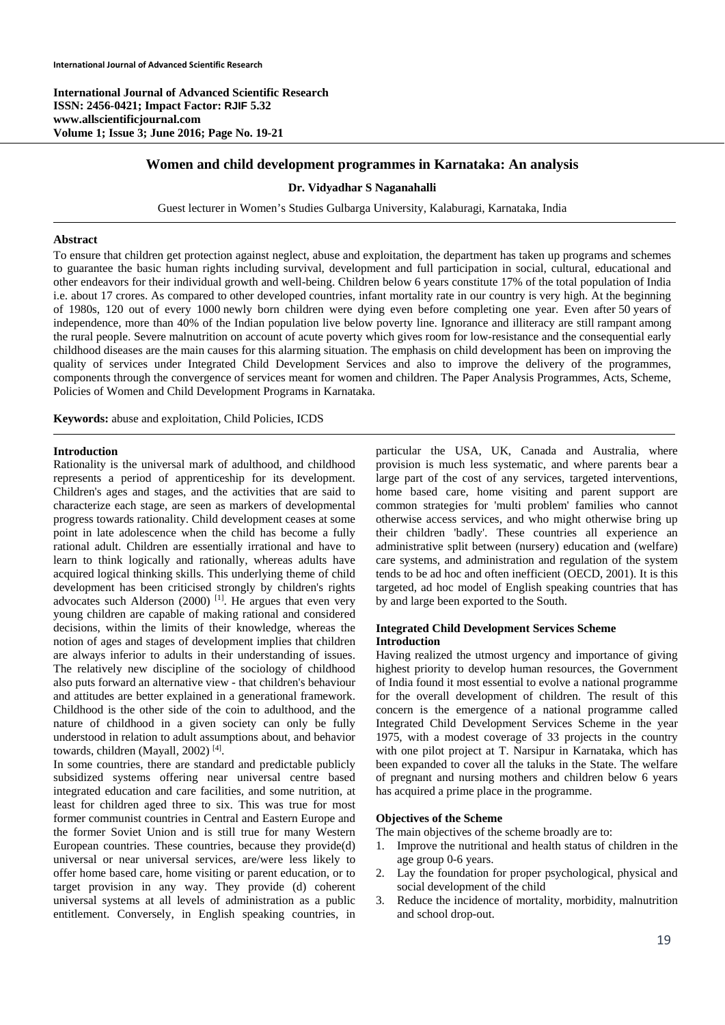**International Journal of Advanced Scientific Research ISSN: 2456-0421; Impact Factor: RJIF 5.32 www.allscientificjournal.com Volume 1; Issue 3; June 2016; Page No. 19-21** 

#### **Women and child development programmes in Karnataka: An analysis**

#### **Dr. Vidyadhar S Naganahalli**

Guest lecturer in Women's Studies Gulbarga University, Kalaburagi, Karnataka, India

#### **Abstract**

To ensure that children get protection against neglect, abuse and exploitation, the department has taken up programs and schemes to guarantee the basic human rights including survival, development and full participation in social, cultural, educational and other endeavors for their individual growth and well-being. Children below 6 years constitute 17% of the total population of India i.e. about 17 crores. As compared to other developed countries, infant mortality rate in our country is very high. At the beginning of 1980s, 120 out of every 1000 newly born children were dying even before completing one year. Even after 50 years of independence, more than 40% of the Indian population live below poverty line. Ignorance and illiteracy are still rampant among the rural people. Severe malnutrition on account of acute poverty which gives room for low-resistance and the consequential early childhood diseases are the main causes for this alarming situation. The emphasis on child development has been on improving the quality of services under Integrated Child Development Services and also to improve the delivery of the programmes, components through the convergence of services meant for women and children. The Paper Analysis Programmes, Acts, Scheme, Policies of Women and Child Development Programs in Karnataka.

**Keywords:** abuse and exploitation, Child Policies, ICDS

## **Introduction**

Rationality is the universal mark of adulthood, and childhood represents a period of apprenticeship for its development. Children's ages and stages, and the activities that are said to characterize each stage, are seen as markers of developmental progress towards rationality. Child development ceases at some point in late adolescence when the child has become a fully rational adult. Children are essentially irrational and have to learn to think logically and rationally, whereas adults have acquired logical thinking skills. This underlying theme of child development has been criticised strongly by children's rights advocates such Alderson (2000)<sup>[1]</sup>. He argues that even very young children are capable of making rational and considered decisions, within the limits of their knowledge, whereas the notion of ages and stages of development implies that children are always inferior to adults in their understanding of issues. The relatively new discipline of the sociology of childhood also puts forward an alternative view - that children's behaviour and attitudes are better explained in a generational framework. Childhood is the other side of the coin to adulthood, and the nature of childhood in a given society can only be fully understood in relation to adult assumptions about, and behavior towards, children (Mayall, 2002) [4].

In some countries, there are standard and predictable publicly subsidized systems offering near universal centre based integrated education and care facilities, and some nutrition, at least for children aged three to six. This was true for most former communist countries in Central and Eastern Europe and the former Soviet Union and is still true for many Western European countries. These countries, because they provide(d) universal or near universal services, are/were less likely to offer home based care, home visiting or parent education, or to target provision in any way. They provide (d) coherent universal systems at all levels of administration as a public entitlement. Conversely, in English speaking countries, in particular the USA, UK, Canada and Australia, where provision is much less systematic, and where parents bear a large part of the cost of any services, targeted interventions, home based care, home visiting and parent support are common strategies for 'multi problem' families who cannot otherwise access services, and who might otherwise bring up their children 'badly'. These countries all experience an administrative split between (nursery) education and (welfare) care systems, and administration and regulation of the system tends to be ad hoc and often inefficient (OECD, 2001). It is this targeted, ad hoc model of English speaking countries that has by and large been exported to the South.

#### **Integrated Child Development Services Scheme Introduction**

Having realized the utmost urgency and importance of giving highest priority to develop human resources, the Government of India found it most essential to evolve a national programme for the overall development of children. The result of this concern is the emergence of a national programme called Integrated Child Development Services Scheme in the year 1975, with a modest coverage of 33 projects in the country with one pilot project at T. Narsipur in Karnataka, which has been expanded to cover all the taluks in the State. The welfare of pregnant and nursing mothers and children below 6 years has acquired a prime place in the programme.

#### **Objectives of the Scheme**

The main objectives of the scheme broadly are to:

- 1. Improve the nutritional and health status of children in the age group 0-6 years.
- 2. Lay the foundation for proper psychological, physical and social development of the child
- 3. Reduce the incidence of mortality, morbidity, malnutrition and school drop-out.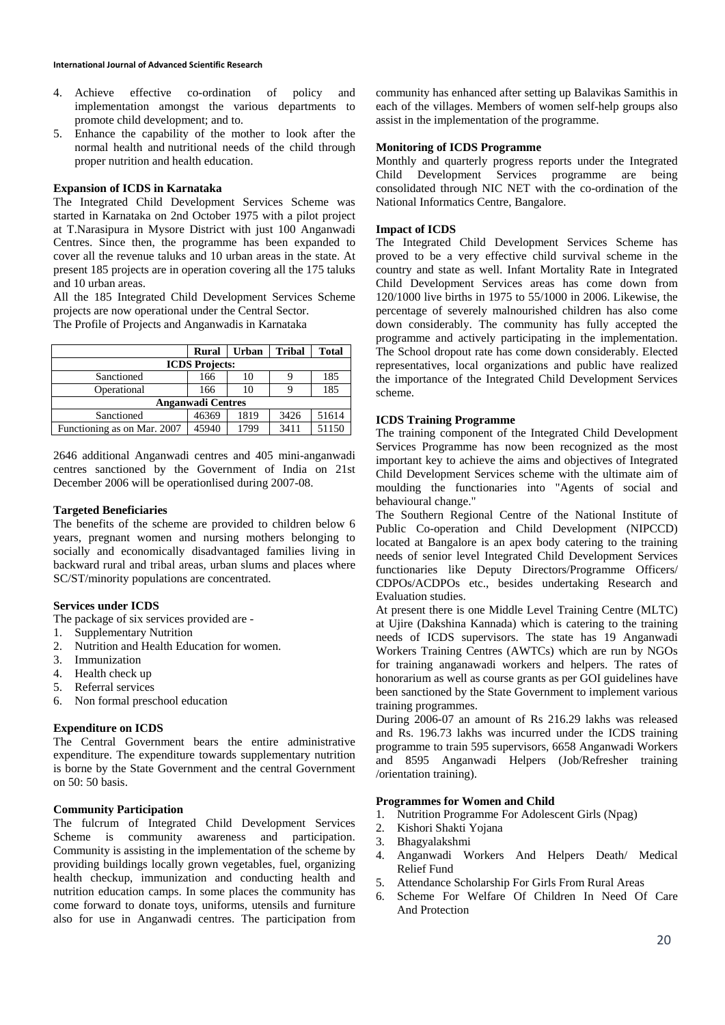- 4. Achieve effective co-ordination of policy and implementation amongst the various departments to promote child development; and to.
- 5. Enhance the capability of the mother to look after the normal health and nutritional needs of the child through proper nutrition and health education.

### **Expansion of ICDS in Karnataka**

The Integrated Child Development Services Scheme was started in Karnataka on 2nd October 1975 with a pilot project at T.Narasipura in Mysore District with just 100 Anganwadi Centres. Since then, the programme has been expanded to cover all the revenue taluks and 10 urban areas in the state. At present 185 projects are in operation covering all the 175 taluks and 10 urban areas.

All the 185 Integrated Child Development Services Scheme projects are now operational under the Central Sector.

The Profile of Projects and Anganwadis in Karnataka

|                             | <b>Rural</b> | <b>Urban</b> | <b>Tribal</b> | <b>Total</b> |
|-----------------------------|--------------|--------------|---------------|--------------|
| <b>ICDS</b> Projects:       |              |              |               |              |
| Sanctioned                  | 166          | 10           |               | 185          |
| Operational                 | 166          | 10           |               | 185          |
| <b>Anganwadi Centres</b>    |              |              |               |              |
| Sanctioned                  | 46369        | 1819         | 3426          | 51614        |
| Functioning as on Mar. 2007 | 45940        | 1799         | 3411          | 51150        |

2646 additional Anganwadi centres and 405 mini-anganwadi centres sanctioned by the Government of India on 21st December 2006 will be operationlised during 2007-08.

# **Targeted Beneficiaries**

The benefits of the scheme are provided to children below 6 years, pregnant women and nursing mothers belonging to socially and economically disadvantaged families living in backward rural and tribal areas, urban slums and places where SC/ST/minority populations are concentrated.

# **Services under ICDS**

The package of six services provided are -

- 1. Supplementary Nutrition
- 2. Nutrition and Health Education for women.
- 3. Immunization
- 4. Health check up
- 5. Referral services
- 6. Non formal preschool education

# **Expenditure on ICDS**

The Central Government bears the entire administrative expenditure. The expenditure towards supplementary nutrition is borne by the State Government and the central Government on 50: 50 basis.

#### **Community Participation**

The fulcrum of Integrated Child Development Services Scheme is community awareness and participation. Community is assisting in the implementation of the scheme by providing buildings locally grown vegetables, fuel, organizing health checkup, immunization and conducting health and nutrition education camps. In some places the community has come forward to donate toys, uniforms, utensils and furniture also for use in Anganwadi centres. The participation from

community has enhanced after setting up Balavikas Samithis in each of the villages. Members of women self-help groups also assist in the implementation of the programme.

## **Monitoring of ICDS Programme**

Monthly and quarterly progress reports under the Integrated Child Development Services programme are being consolidated through NIC NET with the co-ordination of the National Informatics Centre, Bangalore.

## **Impact of ICDS**

The Integrated Child Development Services Scheme has proved to be a very effective child survival scheme in the country and state as well. Infant Mortality Rate in Integrated Child Development Services areas has come down from 120/1000 live births in 1975 to 55/1000 in 2006. Likewise, the percentage of severely malnourished children has also come down considerably. The community has fully accepted the programme and actively participating in the implementation. The School dropout rate has come down considerably. Elected representatives, local organizations and public have realized the importance of the Integrated Child Development Services scheme.

## **ICDS Training Programme**

The training component of the Integrated Child Development Services Programme has now been recognized as the most important key to achieve the aims and objectives of Integrated Child Development Services scheme with the ultimate aim of moulding the functionaries into "Agents of social and behavioural change."

The Southern Regional Centre of the National Institute of Public Co-operation and Child Development (NIPCCD) located at Bangalore is an apex body catering to the training needs of senior level Integrated Child Development Services functionaries like Deputy Directors/Programme Officers/ CDPOs/ACDPOs etc., besides undertaking Research and Evaluation studies.

At present there is one Middle Level Training Centre (MLTC) at Ujire (Dakshina Kannada) which is catering to the training needs of ICDS supervisors. The state has 19 Anganwadi Workers Training Centres (AWTCs) which are run by NGOs for training anganawadi workers and helpers. The rates of honorarium as well as course grants as per GOI guidelines have been sanctioned by the State Government to implement various training programmes.

During 2006-07 an amount of Rs 216.29 lakhs was released and Rs. 196.73 lakhs was incurred under the ICDS training programme to train 595 supervisors, 6658 Anganwadi Workers and 8595 Anganwadi Helpers (Job/Refresher training /orientation training).

# **Programmes for Women and Child**

- 1. Nutrition Programme For Adolescent Girls (Npag)
- 2. Kishori Shakti Yojana
- 3. Bhagyalakshmi
- 4. Anganwadi Workers And Helpers Death/ Medical Relief Fund
- 5. Attendance Scholarship For Girls From Rural Areas
- 6. Scheme For Welfare Of Children In Need Of Care And Protection